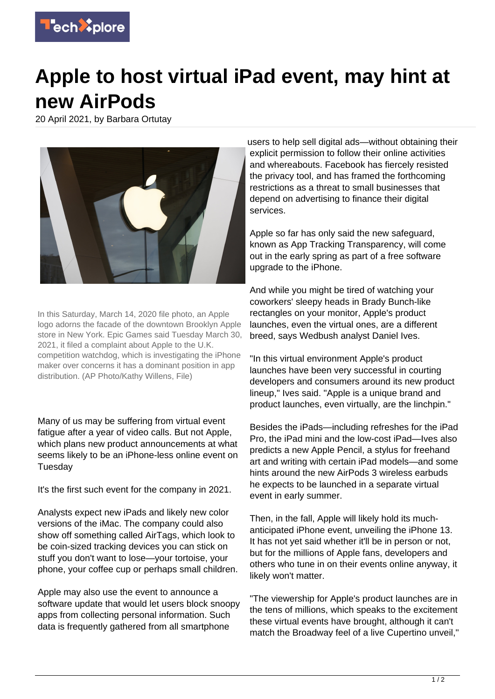

## **Apple to host virtual iPad event, may hint at new AirPods**

20 April 2021, by Barbara Ortutay



In this Saturday, March 14, 2020 file photo, an Apple logo adorns the facade of the downtown Brooklyn Apple store in New York. Epic Games said Tuesday March 30, 2021, it filed a complaint about Apple to the U.K. competition watchdog, which is investigating the iPhone maker over concerns it has a dominant position in app distribution. (AP Photo/Kathy Willens, File)

Many of us may be suffering from virtual event fatigue after a year of video calls. But not Apple, which plans new product announcements at what seems likely to be an iPhone-less online event on Tuesday

It's the first such event for the company in 2021.

Analysts expect new iPads and likely new color versions of the iMac. The company could also show off something called AirTags, which look to be coin-sized tracking devices you can stick on stuff you don't want to lose—your tortoise, your phone, your coffee cup or perhaps small children.

Apple may also use the event to announce a software update that would let users block snoopy apps from collecting personal information. Such data is frequently gathered from all smartphone

users to help sell digital ads—without obtaining their explicit permission to follow their online activities and whereabouts. Facebook has fiercely resisted the privacy tool, and has framed the forthcoming restrictions as a threat to small businesses that depend on advertising to finance their digital services.

Apple so far has only said the new safeguard, known as App Tracking Transparency, will come out in the early spring as part of a free software upgrade to the iPhone.

And while you might be tired of watching your coworkers' sleepy heads in Brady Bunch-like rectangles on your monitor, Apple's product launches, even the virtual ones, are a different breed, says Wedbush analyst Daniel Ives.

"In this virtual environment Apple's product launches have been very successful in courting developers and consumers around its new product lineup," Ives said. "Apple is a unique brand and product launches, even virtually, are the linchpin."

Besides the iPads—including refreshes for the iPad Pro, the iPad mini and the low-cost iPad—Ives also predicts a new Apple Pencil, a stylus for freehand art and writing with certain iPad models—and some hints around the new AirPods 3 wireless earbuds he expects to be launched in a separate virtual event in early summer.

Then, in the fall, Apple will likely hold its muchanticipated iPhone event, unveiling the iPhone 13. It has not yet said whether it'll be in person or not, but for the millions of Apple fans, developers and others who tune in on their events online anyway, it likely won't matter.

"The viewership for Apple's product launches are in the tens of millions, which speaks to the excitement these virtual events have brought, although it can't match the Broadway feel of a live Cupertino unveil,"